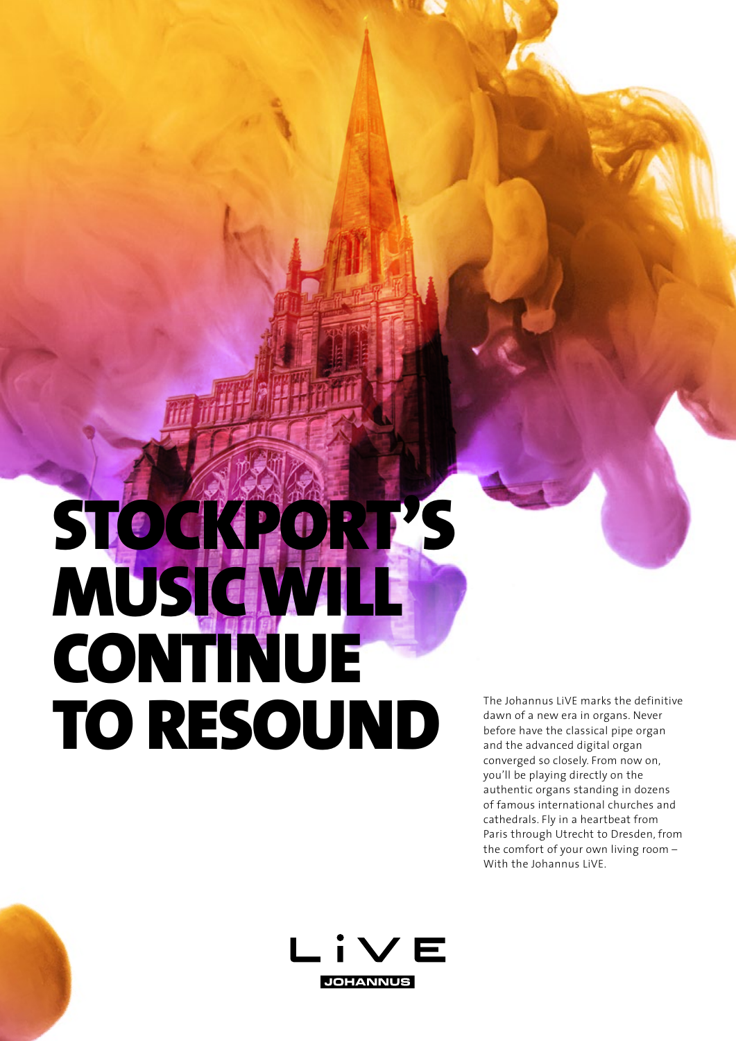## STOCKPORT'S **MUSIC WILL CONTINUE** TO RESOUND

The Johannus LiVE marks the definitive dawn of a new era in organs. Never before have the classical pipe organ and the advanced digital organ converged so closely. From now on, you'll be playing directly on the authentic organs standing in dozens of famous international churches and cathedrals. Fly in a heartbeat from Paris through Utrecht to Dresden, from the comfort of your own living room – With the Johannus LiVE.